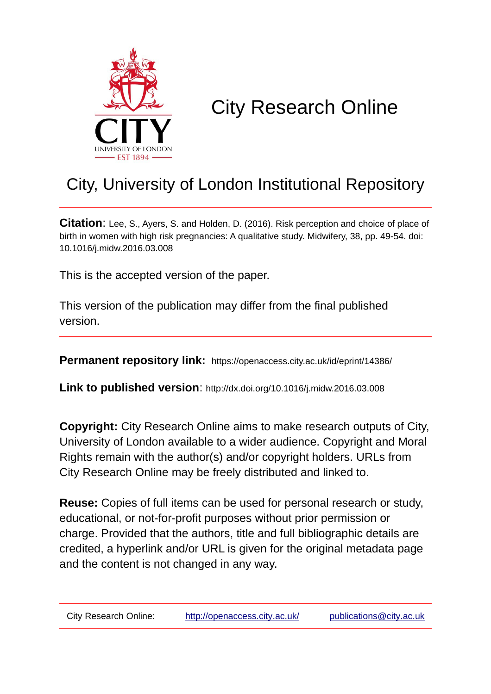

# City Research Online

## City, University of London Institutional Repository

**Citation**: Lee, S., Ayers, S. and Holden, D. (2016). Risk perception and choice of place of birth in women with high risk pregnancies: A qualitative study. Midwifery, 38, pp. 49-54. doi: 10.1016/j.midw.2016.03.008

This is the accepted version of the paper.

This version of the publication may differ from the final published version.

**Permanent repository link:** https://openaccess.city.ac.uk/id/eprint/14386/

**Link to published version**: http://dx.doi.org/10.1016/j.midw.2016.03.008

**Copyright:** City Research Online aims to make research outputs of City, University of London available to a wider audience. Copyright and Moral Rights remain with the author(s) and/or copyright holders. URLs from City Research Online may be freely distributed and linked to.

**Reuse:** Copies of full items can be used for personal research or study, educational, or not-for-profit purposes without prior permission or charge. Provided that the authors, title and full bibliographic details are credited, a hyperlink and/or URL is given for the original metadata page and the content is not changed in any way.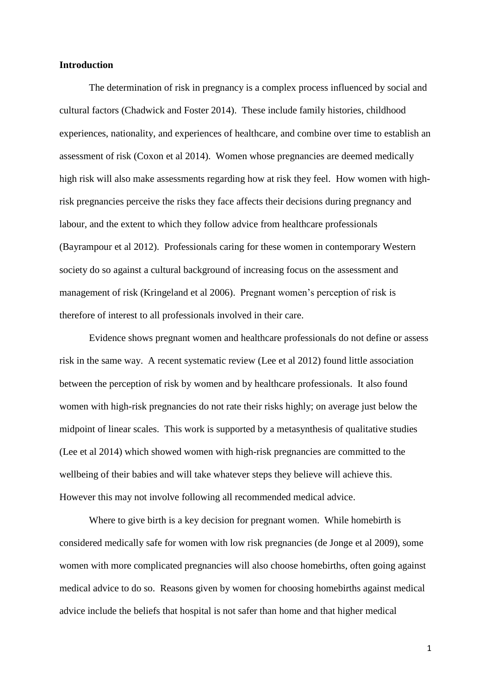#### **Introduction**

The determination of risk in pregnancy is a complex process influenced by social and cultural factors (Chadwick and Foster 2014). These include family histories, childhood experiences, nationality, and experiences of healthcare, and combine over time to establish an assessment of risk (Coxon et al 2014). Women whose pregnancies are deemed medically high risk will also make assessments regarding how at risk they feel. How women with highrisk pregnancies perceive the risks they face affects their decisions during pregnancy and labour, and the extent to which they follow advice from healthcare professionals (Bayrampour et al 2012). Professionals caring for these women in contemporary Western society do so against a cultural background of increasing focus on the assessment and management of risk (Kringeland et al 2006). Pregnant women's perception of risk is therefore of interest to all professionals involved in their care.

Evidence shows pregnant women and healthcare professionals do not define or assess risk in the same way. A recent systematic review (Lee et al 2012) found little association between the perception of risk by women and by healthcare professionals. It also found women with high-risk pregnancies do not rate their risks highly; on average just below the midpoint of linear scales. This work is supported by a metasynthesis of qualitative studies (Lee et al 2014) which showed women with high-risk pregnancies are committed to the wellbeing of their babies and will take whatever steps they believe will achieve this. However this may not involve following all recommended medical advice.

Where to give birth is a key decision for pregnant women. While homebirth is considered medically safe for women with low risk pregnancies (de Jonge et al 2009), some women with more complicated pregnancies will also choose homebirths, often going against medical advice to do so. Reasons given by women for choosing homebirths against medical advice include the beliefs that hospital is not safer than home and that higher medical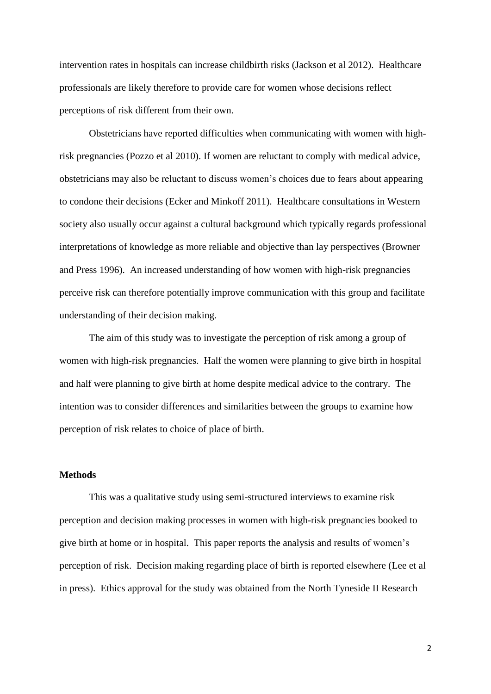intervention rates in hospitals can increase childbirth risks (Jackson et al 2012). Healthcare professionals are likely therefore to provide care for women whose decisions reflect perceptions of risk different from their own.

Obstetricians have reported difficulties when communicating with women with highrisk pregnancies (Pozzo et al 2010). If women are reluctant to comply with medical advice, obstetricians may also be reluctant to discuss women's choices due to fears about appearing to condone their decisions (Ecker and Minkoff 2011). Healthcare consultations in Western society also usually occur against a cultural background which typically regards professional interpretations of knowledge as more reliable and objective than lay perspectives (Browner and Press 1996). An increased understanding of how women with high-risk pregnancies perceive risk can therefore potentially improve communication with this group and facilitate understanding of their decision making.

The aim of this study was to investigate the perception of risk among a group of women with high-risk pregnancies. Half the women were planning to give birth in hospital and half were planning to give birth at home despite medical advice to the contrary. The intention was to consider differences and similarities between the groups to examine how perception of risk relates to choice of place of birth.

#### **Methods**

This was a qualitative study using semi-structured interviews to examine risk perception and decision making processes in women with high-risk pregnancies booked to give birth at home or in hospital. This paper reports the analysis and results of women's perception of risk. Decision making regarding place of birth is reported elsewhere (Lee et al in press).Ethics approval for the study was obtained from the North Tyneside II Research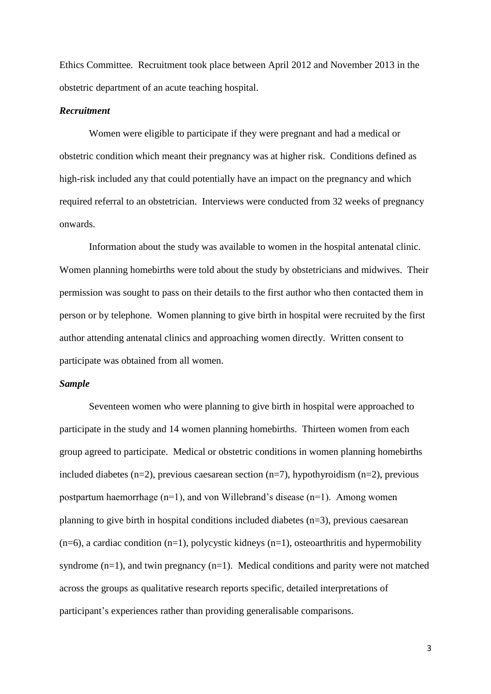Ethics Committee. Recruitment took place between April 2012 and November 2013 in the obstetric department of an acute teaching hospital.

#### *Recruitment*

Women were eligible to participate if they were pregnant and had a medical or obstetric condition which meant their pregnancy was at higher risk. Conditions defined as high-risk included any that could potentially have an impact on the pregnancy and which required referral to an obstetrician. Interviews were conducted from 32 weeks of pregnancy onwards.

Information about the study was available to women in the hospital antenatal clinic. Women planning homebirths were told about the study by obstetricians and midwives. Their permission was sought to pass on their details to the first author who then contacted them in person or by telephone. Women planning to give birth in hospital were recruited by the first author attending antenatal clinics and approaching women directly. Written consent to participate was obtained from all women.

#### *Sample*

Seventeen women who were planning to give birth in hospital were approached to participate in the study and 14 women planning homebirths. Thirteen women from each group agreed to participate. Medical or obstetric conditions in women planning homebirths included diabetes (n=2), previous caesarean section (n=7), hypothyroidism (n=2), previous postpartum haemorrhage (n=1), and von Willebrand's disease (n=1). Among women planning to give birth in hospital conditions included diabetes (n=3), previous caesarean  $(n=6)$ , a cardiac condition  $(n=1)$ , polycystic kidneys  $(n=1)$ , osteoarthritis and hypermobility syndrome  $(n=1)$ , and twin pregnancy  $(n=1)$ . Medical conditions and parity were not matched across the groups as qualitative research reports specific, detailed interpretations of participant's experiences rather than providing generalisable comparisons.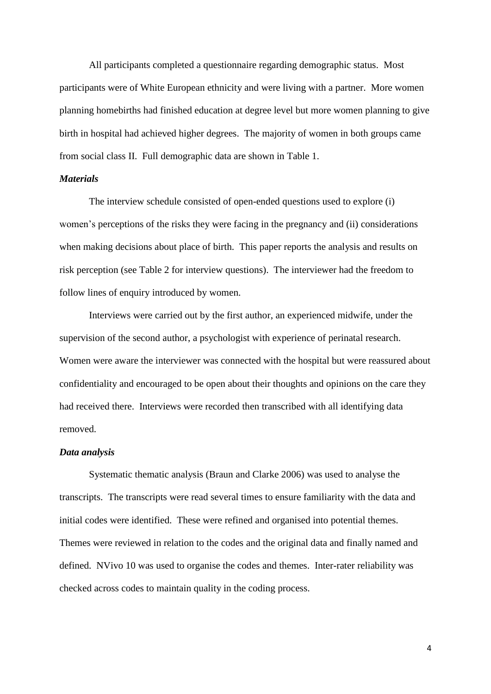All participants completed a questionnaire regarding demographic status. Most participants were of White European ethnicity and were living with a partner. More women planning homebirths had finished education at degree level but more women planning to give birth in hospital had achieved higher degrees. The majority of women in both groups came from social class II. Full demographic data are shown in Table 1.

#### *Materials*

The interview schedule consisted of open-ended questions used to explore (i) women's perceptions of the risks they were facing in the pregnancy and (ii) considerations when making decisions about place of birth. This paper reports the analysis and results on risk perception (see Table 2 for interview questions). The interviewer had the freedom to follow lines of enquiry introduced by women.

Interviews were carried out by the first author, an experienced midwife, under the supervision of the second author, a psychologist with experience of perinatal research. Women were aware the interviewer was connected with the hospital but were reassured about confidentiality and encouraged to be open about their thoughts and opinions on the care they had received there. Interviews were recorded then transcribed with all identifying data removed.

#### *Data analysis*

Systematic thematic analysis (Braun and Clarke 2006) was used to analyse the transcripts. The transcripts were read several times to ensure familiarity with the data and initial codes were identified. These were refined and organised into potential themes. Themes were reviewed in relation to the codes and the original data and finally named and defined. NVivo 10 was used to organise the codes and themes. Inter-rater reliability was checked across codes to maintain quality in the coding process.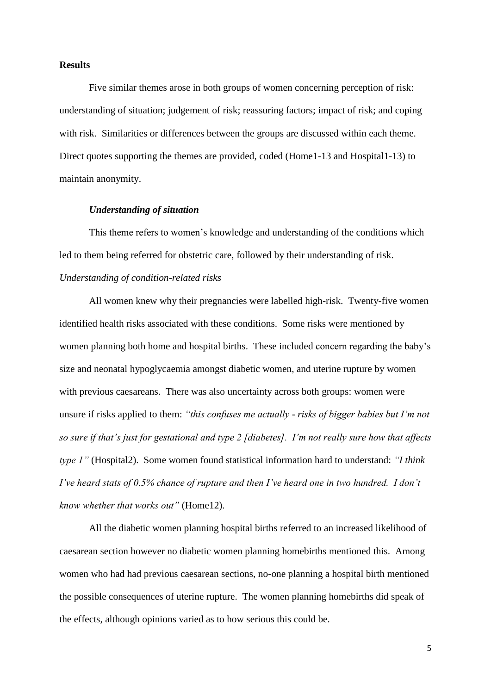#### **Results**

Five similar themes arose in both groups of women concerning perception of risk: understanding of situation; judgement of risk; reassuring factors; impact of risk; and coping with risk. Similarities or differences between the groups are discussed within each theme. Direct quotes supporting the themes are provided, coded (Home1-13 and Hospital1-13) to maintain anonymity.

#### *Understanding of situation*

This theme refers to women's knowledge and understanding of the conditions which led to them being referred for obstetric care, followed by their understanding of risk. *Understanding of condition-related risks*

All women knew why their pregnancies were labelled high-risk. Twenty-five women identified health risks associated with these conditions. Some risks were mentioned by women planning both home and hospital births. These included concern regarding the baby's size and neonatal hypoglycaemia amongst diabetic women, and uterine rupture by women with previous caesareans. There was also uncertainty across both groups: women were unsure if risks applied to them: *"this confuses me actually - risks of bigger babies but I'm not so sure if that's just for gestational and type 2 [diabetes]. I'm not really sure how that affects type 1"* (Hospital2). Some women found statistical information hard to understand: *"I think I've heard stats of 0.5% chance of rupture and then I've heard one in two hundred. I don't know whether that works out"* (Home12).

All the diabetic women planning hospital births referred to an increased likelihood of caesarean section however no diabetic women planning homebirths mentioned this. Among women who had had previous caesarean sections, no-one planning a hospital birth mentioned the possible consequences of uterine rupture. The women planning homebirths did speak of the effects, although opinions varied as to how serious this could be.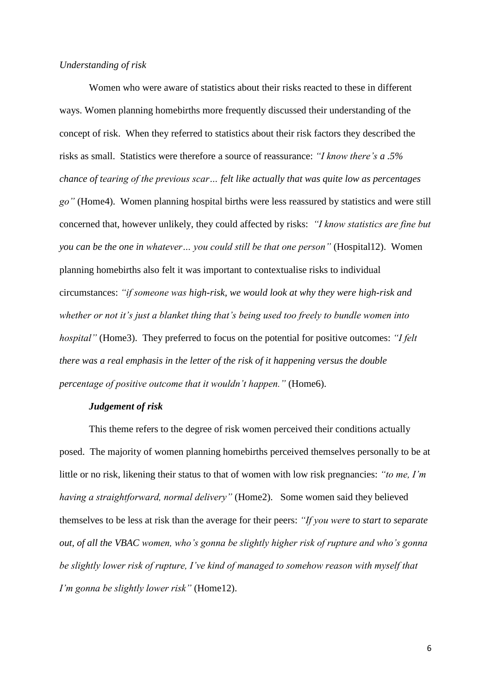#### *Understanding of risk*

Women who were aware of statistics about their risks reacted to these in different ways. Women planning homebirths more frequently discussed their understanding of the concept of risk. When they referred to statistics about their risk factors they described the risks as small. Statistics were therefore a source of reassurance: *"I know there's a .5% chance of tearing of the previous scar… felt like actually that was quite low as percentages go"* (Home4). Women planning hospital births were less reassured by statistics and were still concerned that, however unlikely, they could affected by risks: *"I know statistics are fine but you can be the one in whatever… you could still be that one person"* (Hospital12). Women planning homebirths also felt it was important to contextualise risks to individual circumstances: *"if someone was high-risk, we would look at why they were high-risk and whether or not it's just a blanket thing that's being used too freely to bundle women into hospital"* (Home3). They preferred to focus on the potential for positive outcomes: *"I felt there was a real emphasis in the letter of the risk of it happening versus the double percentage of positive outcome that it wouldn't happen."* (Home6).

#### *Judgement of risk*

This theme refers to the degree of risk women perceived their conditions actually posed. The majority of women planning homebirths perceived themselves personally to be at little or no risk, likening their status to that of women with low risk pregnancies: *"to me, I'm having a straightforward, normal delivery"* (Home2). Some women said they believed themselves to be less at risk than the average for their peers: *"If you were to start to separate out, of all the VBAC women, who's gonna be slightly higher risk of rupture and who's gonna be slightly lower risk of rupture, I've kind of managed to somehow reason with myself that I'm gonna be slightly lower risk"* (Home12).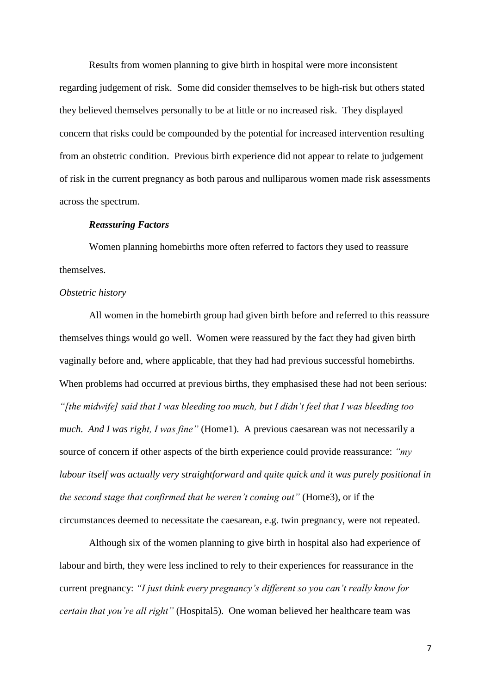Results from women planning to give birth in hospital were more inconsistent regarding judgement of risk. Some did consider themselves to be high-risk but others stated they believed themselves personally to be at little or no increased risk. They displayed concern that risks could be compounded by the potential for increased intervention resulting from an obstetric condition. Previous birth experience did not appear to relate to judgement of risk in the current pregnancy as both parous and nulliparous women made risk assessments across the spectrum.

#### *Reassuring Factors*

Women planning homebirths more often referred to factors they used to reassure themselves.

#### *Obstetric history*

All women in the homebirth group had given birth before and referred to this reassure themselves things would go well. Women were reassured by the fact they had given birth vaginally before and, where applicable, that they had had previous successful homebirths. When problems had occurred at previous births, they emphasised these had not been serious: *"[the midwife] said that I was bleeding too much, but I didn't feel that I was bleeding too much. And I was right, I was fine"* (Home1). A previous caesarean was not necessarily a source of concern if other aspects of the birth experience could provide reassurance: *"my labour itself was actually very straightforward and quite quick and it was purely positional in the second stage that confirmed that he weren't coming out"* (Home3), or if the circumstances deemed to necessitate the caesarean, e.g. twin pregnancy, were not repeated.

Although six of the women planning to give birth in hospital also had experience of labour and birth, they were less inclined to rely to their experiences for reassurance in the current pregnancy: *"I just think every pregnancy's different so you can't really know for certain that you're all right"* (Hospital5). One woman believed her healthcare team was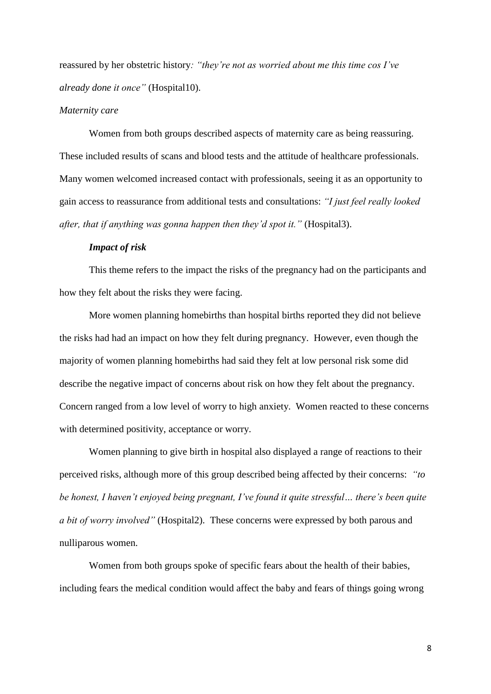reassured by her obstetric history*: "they're not as worried about me this time cos I've already done it once"* (Hospital10).

#### *Maternity care*

Women from both groups described aspects of maternity care as being reassuring. These included results of scans and blood tests and the attitude of healthcare professionals. Many women welcomed increased contact with professionals, seeing it as an opportunity to gain access to reassurance from additional tests and consultations: *"I just feel really looked after, that if anything was gonna happen then they'd spot it."* (Hospital3).

#### *Impact of risk*

This theme refers to the impact the risks of the pregnancy had on the participants and how they felt about the risks they were facing.

More women planning homebirths than hospital births reported they did not believe the risks had had an impact on how they felt during pregnancy. However, even though the majority of women planning homebirths had said they felt at low personal risk some did describe the negative impact of concerns about risk on how they felt about the pregnancy. Concern ranged from a low level of worry to high anxiety. Women reacted to these concerns with determined positivity, acceptance or worry.

Women planning to give birth in hospital also displayed a range of reactions to their perceived risks, although more of this group described being affected by their concerns: *"to be honest, I haven't enjoyed being pregnant, I've found it quite stressful… there's been quite a bit of worry involved"* (Hospital2). These concerns were expressed by both parous and nulliparous women.

Women from both groups spoke of specific fears about the health of their babies, including fears the medical condition would affect the baby and fears of things going wrong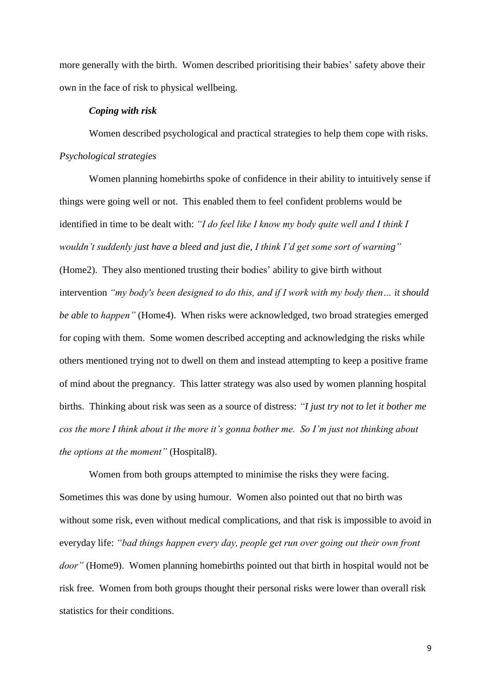more generally with the birth. Women described prioritising their babies' safety above their own in the face of risk to physical wellbeing.

#### *Coping with risk*

Women described psychological and practical strategies to help them cope with risks. *Psychological strategies*

Women planning homebirths spoke of confidence in their ability to intuitively sense if things were going well or not. This enabled them to feel confident problems would be identified in time to be dealt with: *"I do feel like I know my body quite well and I think I wouldn't suddenly just have a bleed and just die, I think I'd get some sort of warning"* (Home2). They also mentioned trusting their bodies' ability to give birth without intervention *"my body's been designed to do this, and if I work with my body then… it should be able to happen"* (Home4). When risks were acknowledged, two broad strategies emerged for coping with them. Some women described accepting and acknowledging the risks while others mentioned trying not to dwell on them and instead attempting to keep a positive frame of mind about the pregnancy. This latter strategy was also used by women planning hospital births. Thinking about risk was seen as a source of distress: *"I just try not to let it bother me cos the more I think about it the more it's gonna bother me. So I'm just not thinking about the options at the moment"* (Hospital8).

Women from both groups attempted to minimise the risks they were facing. Sometimes this was done by using humour. Women also pointed out that no birth was without some risk, even without medical complications, and that risk is impossible to avoid in everyday life: *"bad things happen every day, people get run over going out their own front door"* (Home9). Women planning homebirths pointed out that birth in hospital would not be risk free. Women from both groups thought their personal risks were lower than overall risk statistics for their conditions.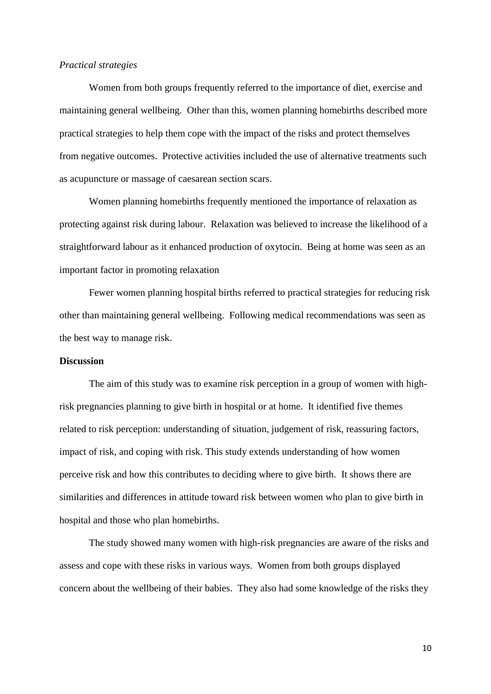#### *Practical strategies*

Women from both groups frequently referred to the importance of diet, exercise and maintaining general wellbeing. Other than this, women planning homebirths described more practical strategies to help them cope with the impact of the risks and protect themselves from negative outcomes. Protective activities included the use of alternative treatments such as acupuncture or massage of caesarean section scars.

Women planning homebirths frequently mentioned the importance of relaxation as protecting against risk during labour. Relaxation was believed to increase the likelihood of a straightforward labour as it enhanced production of oxytocin. Being at home was seen as an important factor in promoting relaxation

Fewer women planning hospital births referred to practical strategies for reducing risk other than maintaining general wellbeing. Following medical recommendations was seen as the best way to manage risk.

#### **Discussion**

The aim of this study was to examine risk perception in a group of women with highrisk pregnancies planning to give birth in hospital or at home. It identified five themes related to risk perception: understanding of situation, judgement of risk, reassuring factors, impact of risk, and coping with risk. This study extends understanding of how women perceive risk and how this contributes to deciding where to give birth. It shows there are similarities and differences in attitude toward risk between women who plan to give birth in hospital and those who plan homebirths.

The study showed many women with high-risk pregnancies are aware of the risks and assess and cope with these risks in various ways. Women from both groups displayed concern about the wellbeing of their babies. They also had some knowledge of the risks they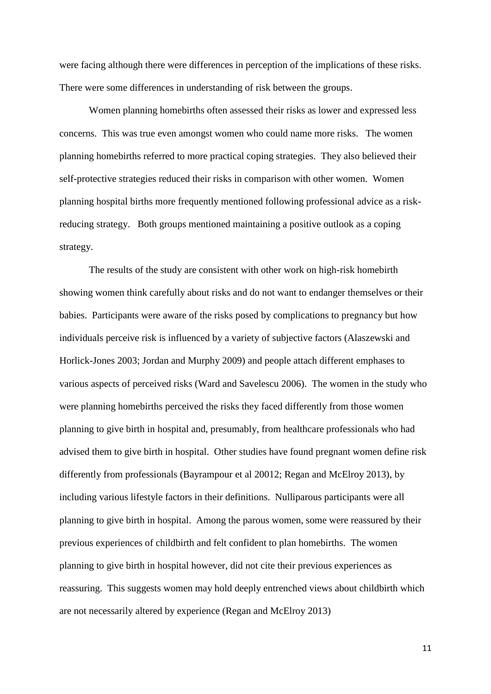were facing although there were differences in perception of the implications of these risks. There were some differences in understanding of risk between the groups.

Women planning homebirths often assessed their risks as lower and expressed less concerns. This was true even amongst women who could name more risks. The women planning homebirths referred to more practical coping strategies. They also believed their self-protective strategies reduced their risks in comparison with other women. Women planning hospital births more frequently mentioned following professional advice as a riskreducing strategy. Both groups mentioned maintaining a positive outlook as a coping strategy.

The results of the study are consistent with other work on high-risk homebirth showing women think carefully about risks and do not want to endanger themselves or their babies. Participants were aware of the risks posed by complications to pregnancy but how individuals perceive risk is influenced by a variety of subjective factors (Alaszewski and Horlick-Jones 2003; Jordan and Murphy 2009) and people attach different emphases to various aspects of perceived risks (Ward and Savelescu 2006). The women in the study who were planning homebirths perceived the risks they faced differently from those women planning to give birth in hospital and, presumably, from healthcare professionals who had advised them to give birth in hospital. Other studies have found pregnant women define risk differently from professionals (Bayrampour et al 20012; Regan and McElroy 2013), by including various lifestyle factors in their definitions. Nulliparous participants were all planning to give birth in hospital. Among the parous women, some were reassured by their previous experiences of childbirth and felt confident to plan homebirths. The women planning to give birth in hospital however, did not cite their previous experiences as reassuring. This suggests women may hold deeply entrenched views about childbirth which are not necessarily altered by experience (Regan and McElroy 2013)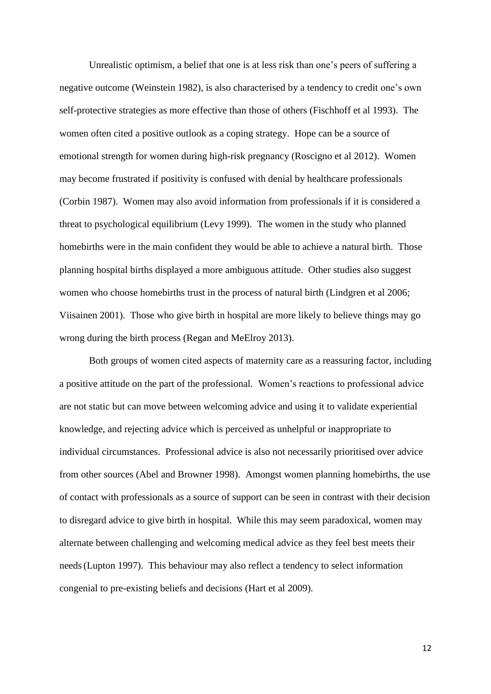Unrealistic optimism, a belief that one is at less risk than one's peers of suffering a negative outcome (Weinstein 1982), is also characterised by a tendency to credit one's own self-protective strategies as more effective than those of others (Fischhoff et al 1993). The women often cited a positive outlook as a coping strategy. Hope can be a source of emotional strength for women during high-risk pregnancy (Roscigno et al 2012). Women may become frustrated if positivity is confused with denial by healthcare professionals (Corbin 1987). Women may also avoid information from professionals if it is considered a threat to psychological equilibrium (Levy 1999). The women in the study who planned homebirths were in the main confident they would be able to achieve a natural birth. Those planning hospital births displayed a more ambiguous attitude. Other studies also suggest women who choose homebirths trust in the process of natural birth (Lindgren et al 2006; Viisainen 2001). Those who give birth in hospital are more likely to believe things may go wrong during the birth process (Regan and MeElroy 2013).

Both groups of women cited aspects of maternity care as a reassuring factor, including a positive attitude on the part of the professional. Women's reactions to professional advice are not static but can move between welcoming advice and using it to validate experiential knowledge, and rejecting advice which is perceived as unhelpful or inappropriate to individual circumstances. Professional advice is also not necessarily prioritised over advice from other sources (Abel and Browner 1998). Amongst women planning homebirths, the use of contact with professionals as a source of support can be seen in contrast with their decision to disregard advice to give birth in hospital. While this may seem paradoxical, women may alternate between challenging and welcoming medical advice as they feel best meets their needs(Lupton 1997). This behaviour may also reflect a tendency to select information congenial to pre-existing beliefs and decisions (Hart et al 2009).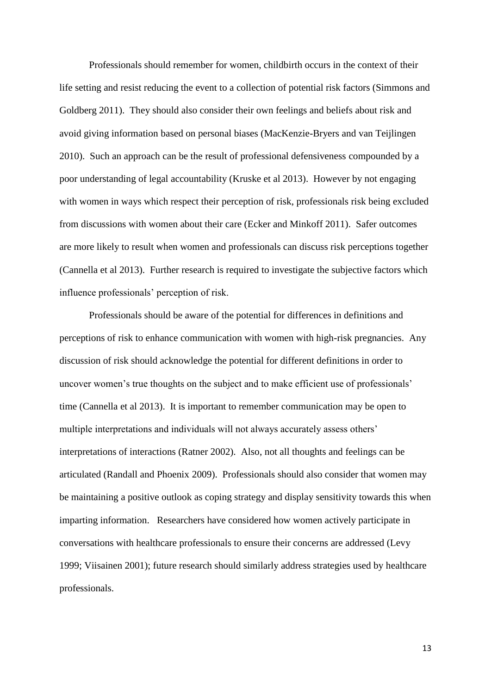Professionals should remember for women, childbirth occurs in the context of their life setting and resist reducing the event to a collection of potential risk factors (Simmons and Goldberg 2011). They should also consider their own feelings and beliefs about risk and avoid giving information based on personal biases (MacKenzie-Bryers and van Teijlingen 2010). Such an approach can be the result of professional defensiveness compounded by a poor understanding of legal accountability (Kruske et al 2013). However by not engaging with women in ways which respect their perception of risk, professionals risk being excluded from discussions with women about their care (Ecker and Minkoff 2011). Safer outcomes are more likely to result when women and professionals can discuss risk perceptions together (Cannella et al 2013). Further research is required to investigate the subjective factors which influence professionals' perception of risk.

Professionals should be aware of the potential for differences in definitions and perceptions of risk to enhance communication with women with high-risk pregnancies. Any discussion of risk should acknowledge the potential for different definitions in order to uncover women's true thoughts on the subject and to make efficient use of professionals' time (Cannella et al 2013). It is important to remember communication may be open to multiple interpretations and individuals will not always accurately assess others' interpretations of interactions (Ratner 2002). Also, not all thoughts and feelings can be articulated (Randall and Phoenix 2009). Professionals should also consider that women may be maintaining a positive outlook as coping strategy and display sensitivity towards this when imparting information. Researchers have considered how women actively participate in conversations with healthcare professionals to ensure their concerns are addressed (Levy 1999; Viisainen 2001); future research should similarly address strategies used by healthcare professionals.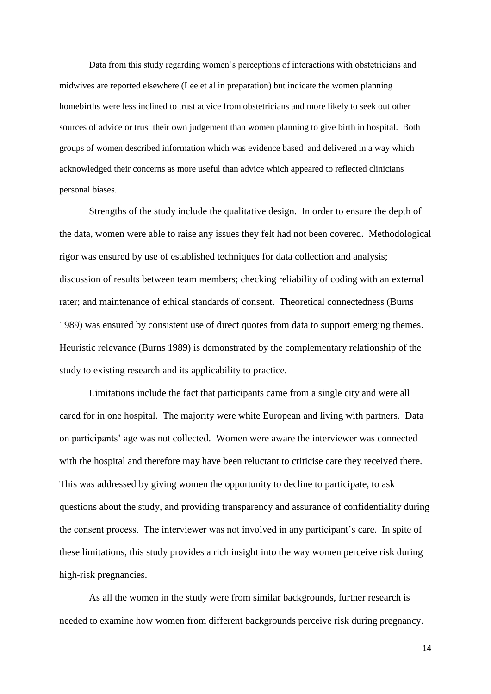Data from this study regarding women's perceptions of interactions with obstetricians and midwives are reported elsewhere (Lee et al in preparation) but indicate the women planning homebirths were less inclined to trust advice from obstetricians and more likely to seek out other sources of advice or trust their own judgement than women planning to give birth in hospital. Both groups of women described information which was evidence based and delivered in a way which acknowledged their concerns as more useful than advice which appeared to reflected clinicians personal biases.

Strengths of the study include the qualitative design. In order to ensure the depth of the data, women were able to raise any issues they felt had not been covered. Methodological rigor was ensured by use of established techniques for data collection and analysis; discussion of results between team members; checking reliability of coding with an external rater; and maintenance of ethical standards of consent. Theoretical connectedness (Burns 1989) was ensured by consistent use of direct quotes from data to support emerging themes. Heuristic relevance (Burns 1989) is demonstrated by the complementary relationship of the study to existing research and its applicability to practice.

Limitations include the fact that participants came from a single city and were all cared for in one hospital. The majority were white European and living with partners. Data on participants' age was not collected. Women were aware the interviewer was connected with the hospital and therefore may have been reluctant to criticise care they received there. This was addressed by giving women the opportunity to decline to participate, to ask questions about the study, and providing transparency and assurance of confidentiality during the consent process. The interviewer was not involved in any participant's care. In spite of these limitations, this study provides a rich insight into the way women perceive risk during high-risk pregnancies.

As all the women in the study were from similar backgrounds, further research is needed to examine how women from different backgrounds perceive risk during pregnancy.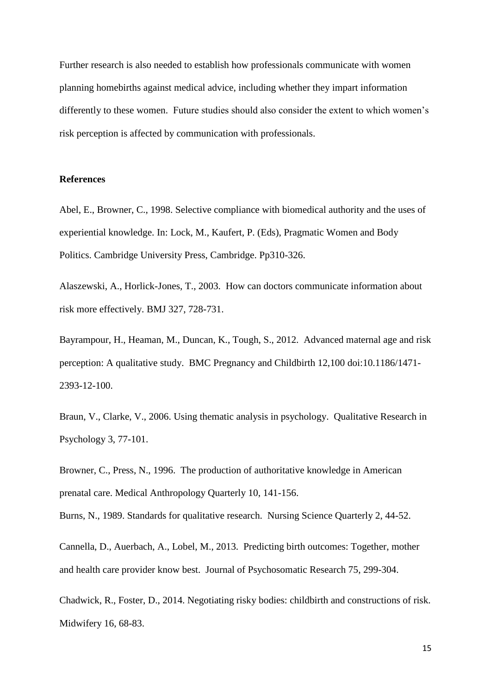Further research is also needed to establish how professionals communicate with women planning homebirths against medical advice, including whether they impart information differently to these women. Future studies should also consider the extent to which women's risk perception is affected by communication with professionals.

#### **References**

Abel, E., Browner, C., 1998. Selective compliance with biomedical authority and the uses of experiential knowledge. In: Lock, M., Kaufert, P. (Eds), Pragmatic Women and Body Politics. Cambridge University Press, Cambridge. Pp310-326.

Alaszewski, A., Horlick-Jones, T., 2003. How can doctors communicate information about risk more effectively. BMJ 327, 728-731.

Bayrampour, H., Heaman, M., Duncan, K., Tough, S., 2012. Advanced maternal age and risk perception: A qualitative study. BMC Pregnancy and Childbirth 12,100 doi:10.1186/1471- 2393-12-100.

Braun, V., Clarke, V., 2006. Using thematic analysis in psychology. Qualitative Research in Psychology 3, 77-101.

Browner, C., Press, N., 1996. The production of authoritative knowledge in American prenatal care. Medical Anthropology Quarterly 10, 141-156.

Burns, N., 1989. Standards for qualitative research. Nursing Science Quarterly 2, 44-52.

Cannella, D., Auerbach, A., Lobel, M., 2013. Predicting birth outcomes: Together, mother and health care provider know best. Journal of Psychosomatic Research 75, 299-304.

Chadwick, R., Foster, D., 2014. Negotiating risky bodies: childbirth and constructions of risk. Midwifery 16, 68-83.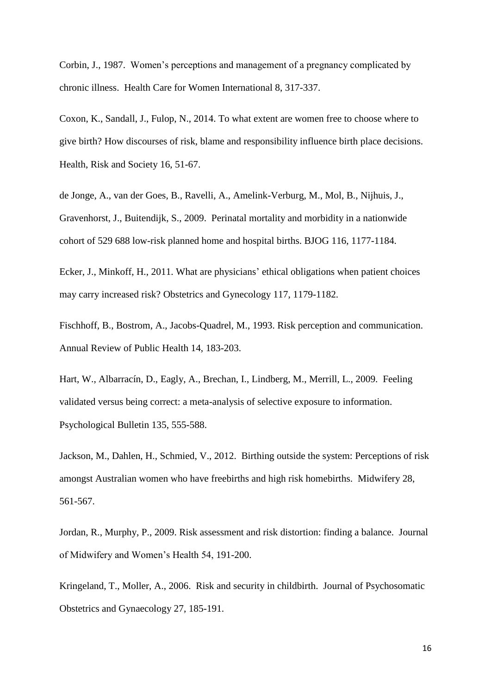Corbin, J., 1987. Women's perceptions and management of a pregnancy complicated by chronic illness. Health Care for Women International 8, 317-337.

Coxon, K., Sandall, J., Fulop, N., 2014. To what extent are women free to choose where to give birth? How discourses of risk, blame and responsibility influence birth place decisions. Health, Risk and Society 16, 51-67.

de Jonge, A., van der Goes, B., Ravelli, A., Amelink-Verburg, M., Mol, B., Nijhuis, J., Gravenhorst, J., Buitendijk, S., 2009. Perinatal mortality and morbidity in a nationwide cohort of 529 688 low-risk planned home and hospital births. BJOG 116, 1177-1184.

Ecker, J., Minkoff, H., 2011. What are physicians' ethical obligations when patient choices may carry increased risk? Obstetrics and Gynecology 117, 1179-1182.

Fischhoff, B., Bostrom, A., Jacobs-Quadrel, M., 1993. Risk perception and communication. Annual Review of Public Health 14, 183-203.

Hart, W., Albarracín, D., Eagly, A., Brechan, I., Lindberg, M., Merrill, L., 2009. Feeling validated versus being correct: a meta-analysis of selective exposure to information. Psychological Bulletin 135, 555-588.

Jackson, M., Dahlen, H., Schmied, V., 2012. Birthing outside the system: Perceptions of risk amongst Australian women who have freebirths and high risk homebirths. Midwifery 28, 561-567.

Jordan, R., Murphy, P., 2009. Risk assessment and risk distortion: finding a balance. Journal of Midwifery and Women's Health 54, 191-200.

Kringeland, T., Moller, A., 2006. Risk and security in childbirth. Journal of Psychosomatic Obstetrics and Gynaecology 27, 185-191.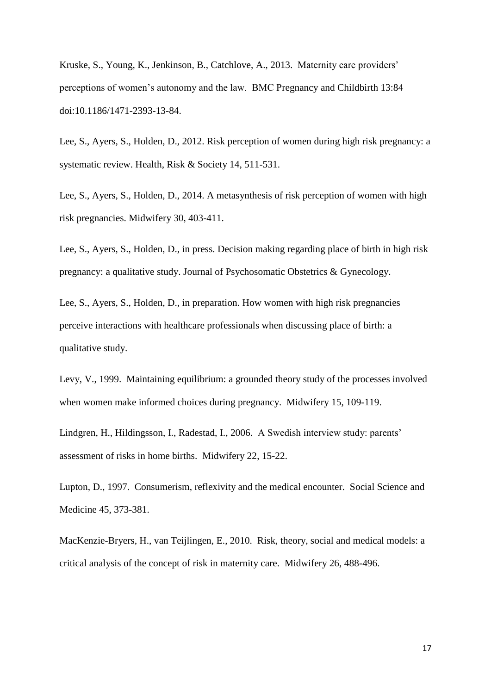Kruske, S., Young, K., Jenkinson, B., Catchlove, A., 2013. Maternity care providers' perceptions of women's autonomy and the law. BMC Pregnancy and Childbirth 13:84 doi:10.1186/1471-2393-13-84.

Lee, S., Ayers, S., Holden, D., 2012. Risk perception of women during high risk pregnancy: a systematic review. Health, Risk & Society 14, 511-531.

Lee, S., Ayers, S., Holden, D., 2014. A metasynthesis of risk perception of women with high risk pregnancies. Midwifery 30, 403-411.

Lee, S., Ayers, S., Holden, D., in press. Decision making regarding place of birth in high risk pregnancy: a qualitative study. Journal of Psychosomatic Obstetrics & Gynecology.

Lee, S., Ayers, S., Holden, D., in preparation. How women with high risk pregnancies perceive interactions with healthcare professionals when discussing place of birth: a qualitative study.

Levy, V., 1999. Maintaining equilibrium: a grounded theory study of the processes involved when women make informed choices during pregnancy. Midwifery 15, 109-119.

Lindgren, H., Hildingsson, I., Radestad, I., 2006. A Swedish interview study: parents' assessment of risks in home births. Midwifery 22, 15-22.

Lupton, D., 1997. Consumerism, reflexivity and the medical encounter. Social Science and Medicine 45, 373-381.

MacKenzie-Bryers, H., van Teijlingen, E., 2010. Risk, theory, social and medical models: a critical analysis of the concept of risk in maternity care. Midwifery 26, 488-496.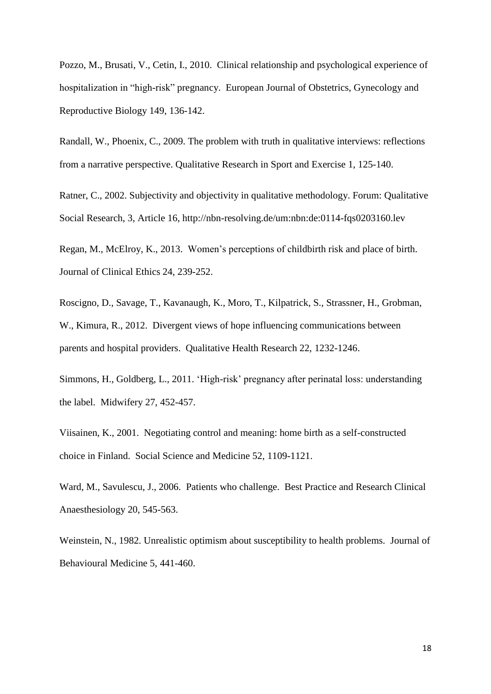Pozzo, M., Brusati, V., Cetin, I., 2010. Clinical relationship and psychological experience of hospitalization in "high-risk" pregnancy. European Journal of Obstetrics, Gynecology and Reproductive Biology 149, 136-142.

Randall, W., Phoenix, C., 2009. The problem with truth in qualitative interviews: reflections from a narrative perspective. Qualitative Research in Sport and Exercise 1, 125-140.

Ratner, C., 2002. Subjectivity and objectivity in qualitative methodology. Forum: Qualitative Social Research, 3, Article 16, http://nbn-resolving.de/um:nbn:de:0114-fqs0203160.lev

Regan, M., McElroy, K., 2013. Women's perceptions of childbirth risk and place of birth. Journal of Clinical Ethics 24, 239-252.

Roscigno, D., Savage, T., Kavanaugh, K., Moro, T., Kilpatrick, S., Strassner, H., Grobman, W., Kimura, R., 2012. Divergent views of hope influencing communications between parents and hospital providers. Qualitative Health Research 22, 1232-1246.

Simmons, H., Goldberg, L., 2011. 'High-risk' pregnancy after perinatal loss: understanding the label. Midwifery 27, 452-457.

Viisainen, K., 2001. Negotiating control and meaning: home birth as a self-constructed choice in Finland. Social Science and Medicine 52, 1109-1121.

Ward, M., Savulescu, J., 2006. Patients who challenge. Best Practice and Research Clinical Anaesthesiology 20, 545-563.

Weinstein, N., 1982. Unrealistic optimism about susceptibility to health problems. Journal of Behavioural Medicine 5, 441-460.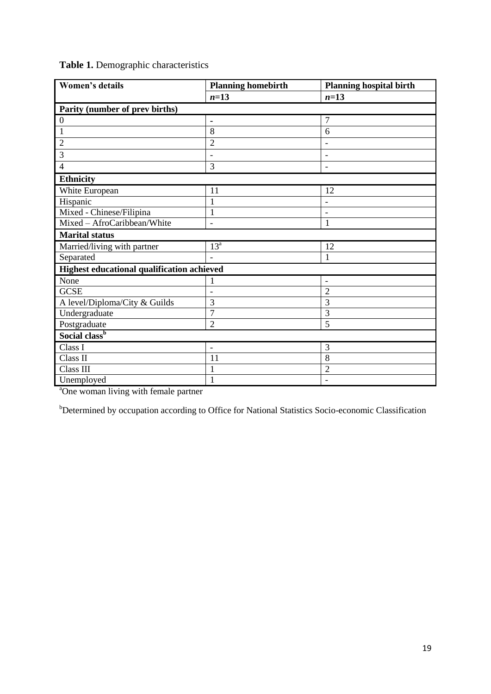| Women's details                            | <b>Planning homebirth</b> | <b>Planning hospital birth</b> |
|--------------------------------------------|---------------------------|--------------------------------|
|                                            | $n=13$                    | $n=13$                         |
| Parity (number of prev births)             |                           |                                |
| $\boldsymbol{0}$                           | -                         | 7                              |
| $\mathbf{1}$                               | 8                         | 6                              |
| $\overline{2}$                             | $\overline{2}$            |                                |
| 3                                          | ۰                         | $\overline{\phantom{0}}$       |
| $\overline{4}$                             | 3                         | $\overline{a}$                 |
| <b>Ethnicity</b>                           |                           |                                |
| White European                             | 11                        | 12                             |
| Hispanic                                   | $\mathbf{1}$              | $\qquad \qquad \blacksquare$   |
| Mixed - Chinese/Filipina                   | $\mathbf{1}$              |                                |
| Mixed - AfroCaribbean/White                | $\overline{a}$            | 1                              |
| <b>Marital status</b>                      |                           |                                |
| Married/living with partner                | $13^{\mathrm{a}}$         | 12                             |
| Separated                                  |                           | 1                              |
| Highest educational qualification achieved |                           |                                |
| None                                       |                           |                                |
| <b>GCSE</b>                                | ٠                         | $\overline{c}$                 |
| A level/Diploma/City & Guilds              | 3                         | 3                              |
| Undergraduate                              | 7                         | 3                              |
| Postgraduate                               | $\overline{2}$            | 5                              |
| Social class <sup>b</sup>                  |                           |                                |
| Class I                                    | $\overline{\phantom{0}}$  | 3                              |
| Class II                                   | 11                        | 8                              |
| Class III                                  | 1                         | $\overline{c}$                 |
| Unemployed                                 | $\mathbf{1}$              |                                |

## **Table 1.** Demographic characteristics

<sup>a</sup>One woman living with female partner

<sup>b</sup>Determined by occupation according to Office for National Statistics Socio-economic Classification